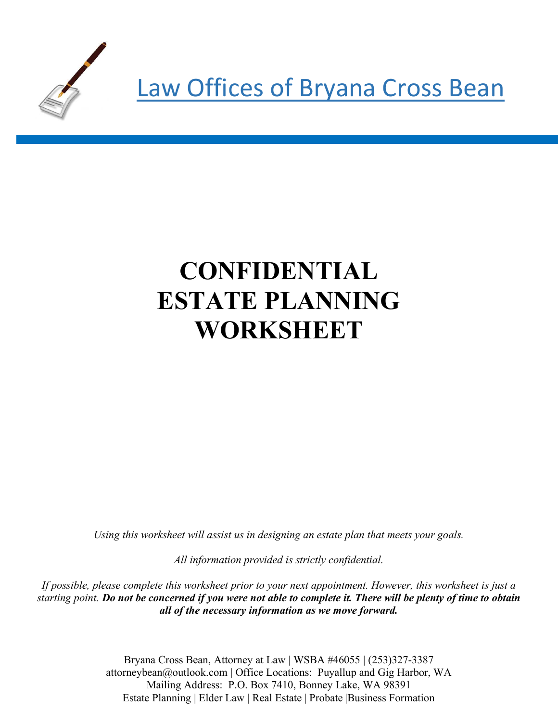

# **CONFIDENTIAL ESTATE PLANNING WORKSHEET**

*Using this worksheet will assist us in designing an estate plan that meets your goals.* 

*All information provided is strictly confidential.* 

*If possible, please complete this worksheet prior to your next appointment. However, this worksheet is just a starting point. Do not be concerned if you were not able to complete it. There will be plenty of time to obtain all of the necessary information as we move forward.*

> Bryana Cross Bean, Attorney at Law | WSBA #46055 | (253)327-3387 attorneybean@outlook.com | Office Locations: Puyallup and Gig Harbor, WA Mailing Address: P.O. Box 7410, Bonney Lake, WA 98391 Estate Planning | Elder Law | Real Estate | Probate |Business Formation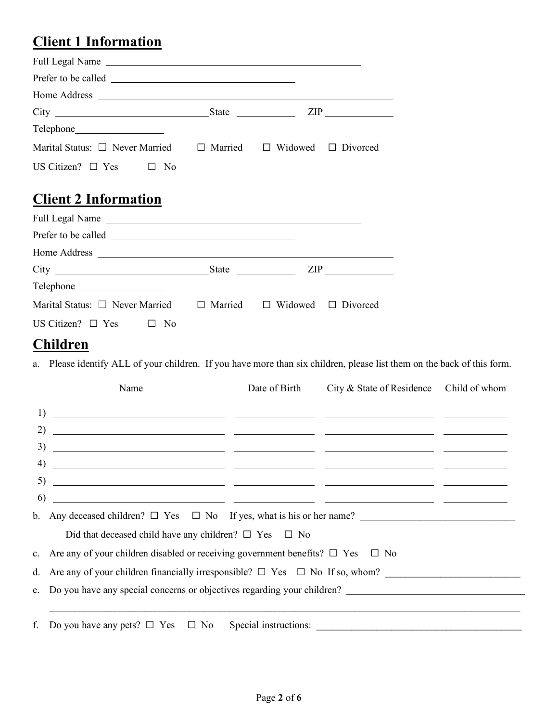### **Client 1 Information**

|                                                                                    | ZIP |
|------------------------------------------------------------------------------------|-----|
|                                                                                    |     |
| Marital Status: $\Box$ Never Married $\Box$ Married $\Box$ Widowed $\Box$ Divorced |     |
| US Citizen? $\Box$ Yes $\Box$<br>- No                                              |     |

#### **Client 2 Information**

| Full Legal Name                                                                                                                                                                                                               |  |
|-------------------------------------------------------------------------------------------------------------------------------------------------------------------------------------------------------------------------------|--|
|                                                                                                                                                                                                                               |  |
|                                                                                                                                                                                                                               |  |
|                                                                                                                                                                                                                               |  |
| Telephone expansion of the state of the state of the state of the state of the state of the state of the state of the state of the state of the state of the state of the state of the state of the state of the state of the |  |
| Marital Status: $\Box$ Never Married $\Box$ Married $\Box$ Widowed $\Box$ Divorced                                                                                                                                            |  |
| US Citizen? $\Box$ Yes $\Box$ No                                                                                                                                                                                              |  |
|                                                                                                                                                                                                                               |  |

#### **Children**

a. Please identify ALL of your children. If you have more than six children, please list them on the back of this form.

|    | Name                                                                                                                                                                                                                                                                                                                                                                        | Date of Birth | City & State of Residence Child of whom |  |
|----|-----------------------------------------------------------------------------------------------------------------------------------------------------------------------------------------------------------------------------------------------------------------------------------------------------------------------------------------------------------------------------|---------------|-----------------------------------------|--|
|    |                                                                                                                                                                                                                                                                                                                                                                             |               |                                         |  |
|    |                                                                                                                                                                                                                                                                                                                                                                             |               |                                         |  |
| 3) |                                                                                                                                                                                                                                                                                                                                                                             |               |                                         |  |
|    | $\overline{a}$ (4) $\overline{a}$ $\overline{a}$ $\overline{a}$ $\overline{a}$ $\overline{a}$ $\overline{a}$ $\overline{a}$ $\overline{a}$ $\overline{a}$ $\overline{a}$ $\overline{a}$ $\overline{a}$ $\overline{a}$ $\overline{a}$ $\overline{a}$ $\overline{a}$ $\overline{a}$ $\overline{a}$ $\overline{a}$ $\overline{a}$ $\overline{a}$ $\overline{a}$ $\overline{a}$ |               |                                         |  |
|    |                                                                                                                                                                                                                                                                                                                                                                             |               |                                         |  |
| 6) | <u> 2000 - Andrea Andrew Maria (a chemica de la chemica de la chemica de la chemica de la chemica de la chemica d</u>                                                                                                                                                                                                                                                       |               |                                         |  |
|    |                                                                                                                                                                                                                                                                                                                                                                             |               |                                         |  |
|    | Did that deceased child have any children? $\square$ Yes $\square$ No                                                                                                                                                                                                                                                                                                       |               |                                         |  |
|    | c. Are any of your children disabled or receiving government benefits? $\square$ Yes $\square$ No                                                                                                                                                                                                                                                                           |               |                                         |  |
|    | d. Are any of your children financially irresponsible? $\Box$ Yes $\Box$ No If so, whom?                                                                                                                                                                                                                                                                                    |               |                                         |  |
|    | e. Do you have any special concerns or objectives regarding your children?                                                                                                                                                                                                                                                                                                  |               |                                         |  |
|    |                                                                                                                                                                                                                                                                                                                                                                             |               |                                         |  |
|    |                                                                                                                                                                                                                                                                                                                                                                             |               |                                         |  |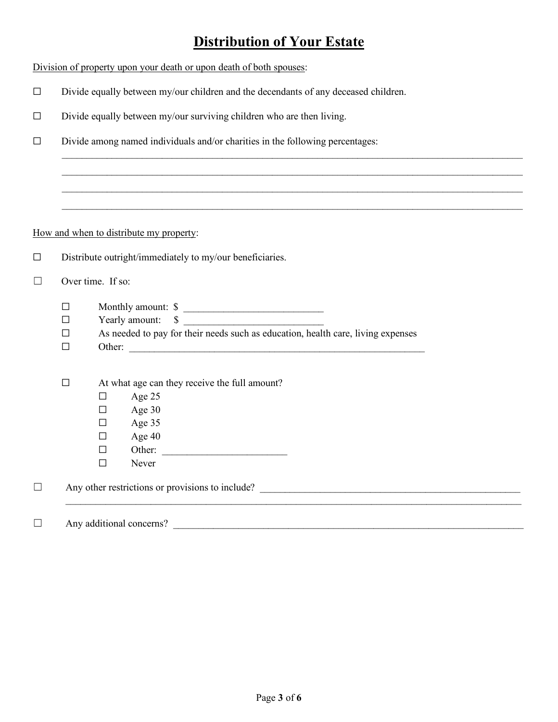## **Distribution of Your Estate**

|         | Division of property upon your death or upon death of both spouses:                                                                                                            |  |  |  |
|---------|--------------------------------------------------------------------------------------------------------------------------------------------------------------------------------|--|--|--|
| $\Box$  | Divide equally between my/our children and the decendants of any deceased children.                                                                                            |  |  |  |
| □       | Divide equally between my/our surviving children who are then living.                                                                                                          |  |  |  |
| □       | Divide among named individuals and/or charities in the following percentages:                                                                                                  |  |  |  |
|         | ,我们也不会有什么。""我们的人,我们也不会有什么?""我们的人,我们也不会有什么?""我们的人,我们也不会有什么?""我们的人,我们也不会有什么?""我们的人                                                                                               |  |  |  |
|         |                                                                                                                                                                                |  |  |  |
|         | How and when to distribute my property:                                                                                                                                        |  |  |  |
|         |                                                                                                                                                                                |  |  |  |
| $\Box$  | Distribute outright/immediately to my/our beneficiaries.                                                                                                                       |  |  |  |
| $\perp$ | Over time. If so:                                                                                                                                                              |  |  |  |
|         | Monthly amount: \$<br>$\Box$<br>Yearly amount: \$<br>П<br>As needed to pay for their needs such as education, health care, living expenses<br>$\Box$<br>$\Box$                 |  |  |  |
|         | At what age can they receive the full amount?<br>$\Box$<br>Age 25<br>$\Box$<br>Age 30<br>$\Box$<br>Age 35<br>$\Box$<br>Age 40<br>$\Box$<br>Other:<br>$\Box$<br>$\Box$<br>Never |  |  |  |
| $\Box$  |                                                                                                                                                                                |  |  |  |
| П       | Any additional concerns?                                                                                                                                                       |  |  |  |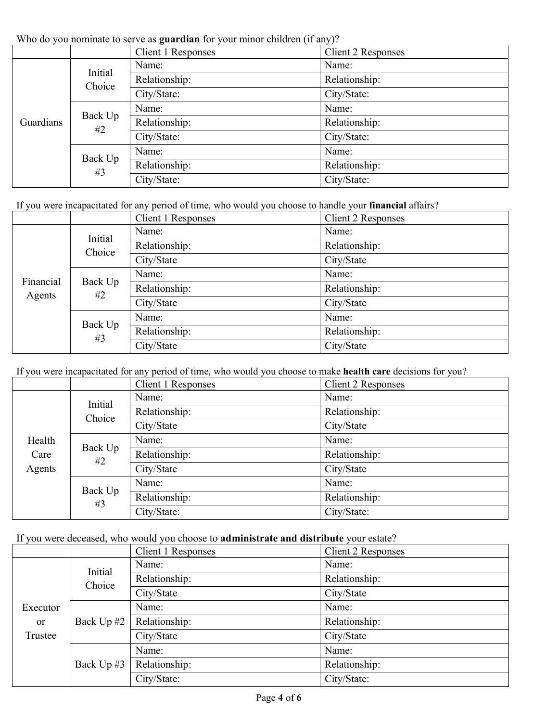Who do you nominate to serve as **guardian** for your minor children (if any)?

| WHO GO YOU HOMINIQUE TO SET VE AS <b>guai uian</b> TOI YOUI HIMOI CHIRITCH (TI AHY). |                   |                    |                    |
|--------------------------------------------------------------------------------------|-------------------|--------------------|--------------------|
|                                                                                      |                   | Client 1 Responses | Client 2 Responses |
| Guardians                                                                            | Initial<br>Choice | Name:              | Name:              |
|                                                                                      |                   | Relationship:      | Relationship:      |
|                                                                                      |                   | City/State:        | City/State:        |
|                                                                                      | Back Up<br>#2     | Name:              | Name:              |
|                                                                                      |                   | Relationship:      | Relationship:      |
|                                                                                      |                   | City/State:        | City/State:        |
|                                                                                      | Back Up<br>#3     | Name:              | Name:              |
|                                                                                      |                   | Relationship:      | Relationship:      |
|                                                                                      |                   | City/State:        | City/State:        |

If you were incapacitated for any period of time, who would you choose to handle your **financial** affairs?

|                     |                   | <b>Client 1 Responses</b> | Client 2 Responses |
|---------------------|-------------------|---------------------------|--------------------|
|                     | Initial<br>Choice | Name:                     | Name:              |
|                     |                   | Relationship:             | Relationship:      |
|                     |                   | City/State                | City/State         |
| Financial<br>Agents | Back Up<br>#2     | Name:                     | Name:              |
|                     |                   | Relationship:             | Relationship:      |
|                     |                   | City/State                | City/State         |
|                     | Back Up<br>#3     | Name:                     | Name:              |
|                     |                   | Relationship:             | Relationship:      |
|                     |                   | City/State                | City/State         |

If you were incapacitated for any period of time, who would you choose to make **health care** decisions for you?

|                          |                   | <b>Client 1 Responses</b> | Client 2 Responses |
|--------------------------|-------------------|---------------------------|--------------------|
| Health<br>Care<br>Agents | Initial<br>Choice | Name:                     | Name:              |
|                          |                   | Relationship:             | Relationship:      |
|                          |                   | City/State                | City/State         |
|                          | Back Up<br>#2     | Name:                     | Name:              |
|                          |                   | Relationship:             | Relationship:      |
|                          |                   | City/State                | City/State         |
|                          | Back Up<br>#3     | Name:                     | Name:              |
|                          |                   | Relationship:             | Relationship:      |
|                          |                   | City/State:               | City/State:        |

If you were deceased, who would you choose to **administrate and distribute** your estate?

|                                         |                   | Client 1 Responses | Client 2 Responses |
|-----------------------------------------|-------------------|--------------------|--------------------|
|                                         | Initial<br>Choice | Name:              | Name:              |
|                                         |                   | Relationship:      | Relationship:      |
|                                         |                   | City/State         | City/State         |
| Executor<br>or<br>Trustee<br>Back Up #3 | Name:             | Name:              |                    |
|                                         | Back Up #2        | Relationship:      | Relationship:      |
|                                         |                   | City/State         | City/State         |
|                                         |                   | Name:              | Name:              |
|                                         |                   | Relationship:      | Relationship:      |
|                                         |                   | City/State:        | City/State:        |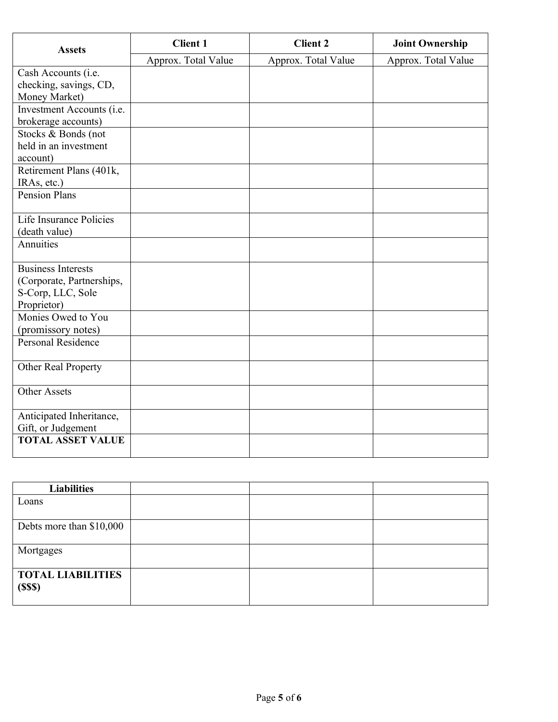| <b>Assets</b>                       | <b>Client 1</b>     | <b>Client 2</b>     | <b>Joint Ownership</b> |
|-------------------------------------|---------------------|---------------------|------------------------|
|                                     | Approx. Total Value | Approx. Total Value | Approx. Total Value    |
| Cash Accounts (i.e.                 |                     |                     |                        |
| checking, savings, CD,              |                     |                     |                        |
| Money Market)                       |                     |                     |                        |
| Investment Accounts (i.e.           |                     |                     |                        |
| brokerage accounts)                 |                     |                     |                        |
| Stocks & Bonds (not                 |                     |                     |                        |
| held in an investment               |                     |                     |                        |
| account)                            |                     |                     |                        |
| Retirement Plans (401k,             |                     |                     |                        |
| IRAs, etc.)<br><b>Pension Plans</b> |                     |                     |                        |
|                                     |                     |                     |                        |
| Life Insurance Policies             |                     |                     |                        |
| (death value)                       |                     |                     |                        |
| Annuities                           |                     |                     |                        |
| <b>Business Interests</b>           |                     |                     |                        |
| (Corporate, Partnerships,           |                     |                     |                        |
| S-Corp, LLC, Sole                   |                     |                     |                        |
| Proprietor)                         |                     |                     |                        |
| Monies Owed to You                  |                     |                     |                        |
| (promissory notes)                  |                     |                     |                        |
| Personal Residence                  |                     |                     |                        |
| Other Real Property                 |                     |                     |                        |
| <b>Other Assets</b>                 |                     |                     |                        |
| Anticipated Inheritance,            |                     |                     |                        |
| Gift, or Judgement                  |                     |                     |                        |
| <b>TOTAL ASSET VALUE</b>            |                     |                     |                        |
|                                     |                     |                     |                        |

| <b>Liabilities</b>       |  |  |
|--------------------------|--|--|
| Loans                    |  |  |
|                          |  |  |
| Debts more than \$10,000 |  |  |
|                          |  |  |
| Mortgages                |  |  |
|                          |  |  |
| <b>TOTAL LIABILITIES</b> |  |  |
| (SSS)                    |  |  |
|                          |  |  |